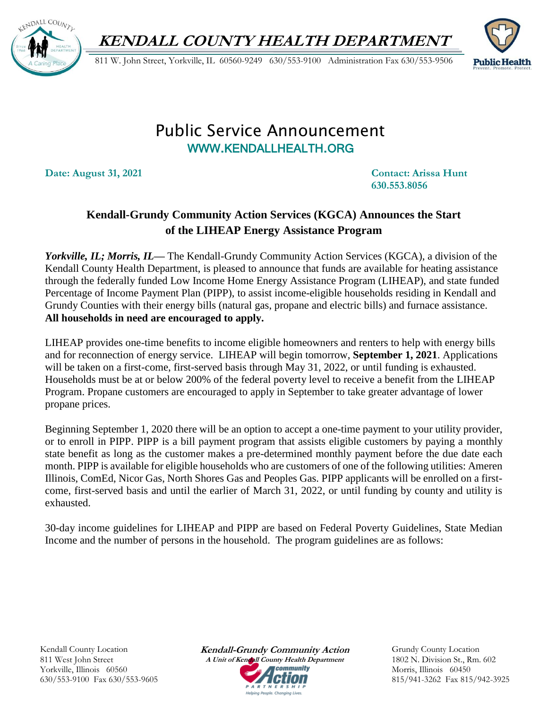**KENDALL COUNTY HEALTH DEPARTMENT**



811 W. John Street, Yorkville, IL 60560-9249 630/553-9100 Administration Fax 630/553-9506



## Public Service Announcement WWW.[KENDALLHEALTH](http://www.kendallhealth.org/).ORG

**Date: August 31, 2021 Contact: Arissa Hunt** 

**630.553.8056**

## **Kendall-Grundy Community Action Services (KGCA) Announces the Start of the LIHEAP Energy Assistance Program**

*Yorkville, IL; Morris, IL—* The Kendall-Grundy Community Action Services (KGCA), a division of the Kendall County Health Department, is pleased to announce that funds are available for heating assistance through the federally funded Low Income Home Energy Assistance Program (LIHEAP), and state funded Percentage of Income Payment Plan (PIPP), to assist income-eligible households residing in Kendall and Grundy Counties with their energy bills (natural gas, propane and electric bills) and furnace assistance. **All households in need are encouraged to apply.**

LIHEAP provides one-time benefits to income eligible homeowners and renters to help with energy bills and for reconnection of energy service. LIHEAP will begin tomorrow, **September 1, 2021**. Applications will be taken on a first-come, first-served basis through May 31, 2022, or until funding is exhausted. Households must be at or below 200% of the federal poverty level to receive a benefit from the LIHEAP Program. Propane customers are encouraged to apply in September to take greater advantage of lower propane prices.

Beginning September 1, 2020 there will be an option to accept a one-time payment to your utility provider, or to enroll in PIPP. PIPP is a bill payment program that assists eligible customers by paying a monthly state benefit as long as the customer makes a pre-determined monthly payment before the due date each month. PIPP is available for eligible households who are customers of one of the following utilities: Ameren Illinois, ComEd, Nicor Gas, North Shores Gas and Peoples Gas. PIPP applicants will be enrolled on a firstcome, first-served basis and until the earlier of March 31, 2022, or until funding by county and utility is exhausted.

30-day income guidelines for LIHEAP and PIPP are based on Federal Poverty Guidelines, State Median Income and the number of persons in the household. The program guidelines are as follows:

Kendall County Location 811 West John Street Yorkville, Illinois 60560 630/553-9100 Fax 630/553-9605 **Kendall-Grundy Community Action A Unit of Kendall County Health Department** *Community* ARTNERSHIP .<br>Helpina People, Chanaina Lives.

Grundy County Location 1802 N. Division St., Rm. 602 Morris, Illinois 60450 815/941-3262 Fax 815/942-3925